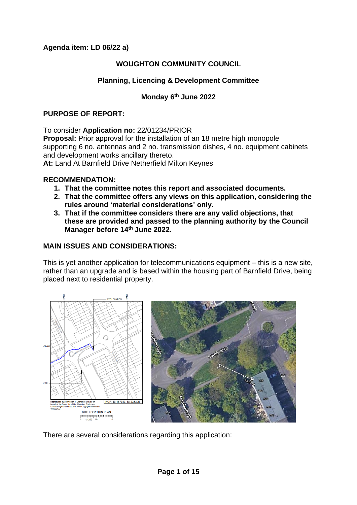# **Agenda item: LD 06/22 a)**

# **WOUGHTON COMMUNITY COUNCIL**

# **Planning, Licencing & Development Committee**

# **Monday 6th June 2022**

### **PURPOSE OF REPORT:**

To consider **Application no:** 22/01234/PRIOR

**Proposal:** Prior approval for the installation of an 18 metre high monopole supporting 6 no. antennas and 2 no. transmission dishes, 4 no. equipment cabinets and development works ancillary thereto.

**At:** Land At Barnfield Drive Netherfield Milton Keynes

### **RECOMMENDATION:**

- **1. That the committee notes this report and associated documents.**
- **2. That the committee offers any views on this application, considering the rules around 'material considerations' only.**
- **3. That if the committee considers there are any valid objections, that these are provided and passed to the planning authority by the Council Manager before 14th June 2022.**

## **MAIN ISSUES AND CONSIDERATIONS:**

This is yet another application for telecommunications equipment – this is a new site, rather than an upgrade and is based within the housing part of Barnfield Drive, being placed next to residential property.



There are several considerations regarding this application: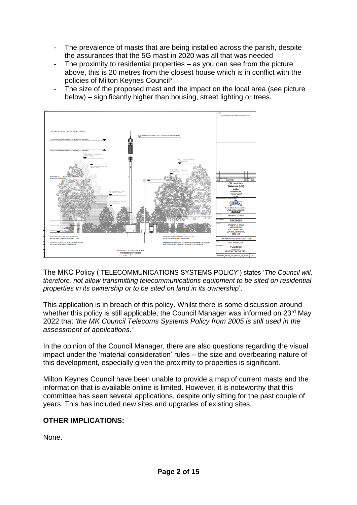- The prevalence of masts that are being installed across the parish, despite the assurances that the 5G mast in 2020 was all that was needed
- The proximity to residential properties  $-$  as you can see from the picture above, this is 20 metres from the closest house which is in conflict with the policies of Milton Keynes Council\*
- The size of the proposed mast and the impact on the local area (see picture below) – significantly higher than housing, street lighting or trees.



The MKC Policy ('TELECOMMUNICATIONS SYSTEMS POLICY') states '*The Council will, therefore, not allow transmitting telecommunications equipment to be sited on residential properties in its ownership or to be sited on land in its ownership*'.

This application is in breach of this policy. Whilst there is some discussion around whether this policy is still applicable, the Council Manager was informed on 23<sup>rd</sup> May 2022 that *'the MK Council Telecoms Systems Policy from 2005 is still used in the assessment of applications.'*

In the opinion of the Council Manager, there are also questions regarding the visual impact under the 'material consideration' rules – the size and overbearing nature of this development, especially given the proximity to properties is significant.

Milton Keynes Council have been unable to provide a map of current masts and the information that is available online is limited. However, it is noteworthy that this committee has seen several applications, despite only sitting for the past couple of years. This has included new sites and upgrades of existing sites.

# **OTHER IMPLICATIONS:**

None.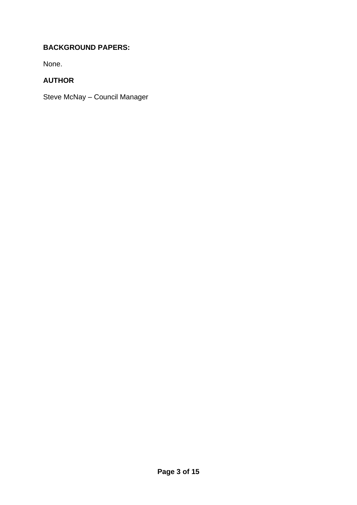# **BACKGROUND PAPERS:**

None.

# **AUTHOR**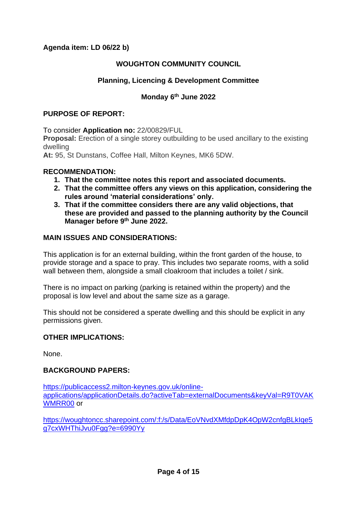# **Agenda item: LD 06/22 b)**

# **WOUGHTON COMMUNITY COUNCIL**

# **Planning, Licencing & Development Committee**

# **Monday 6th June 2022**

#### **PURPOSE OF REPORT:**

To consider **Application no:** 22/00829/FUL

**Proposal:** Erection of a single storey outbuilding to be used ancillary to the existing dwelling

**At:** 95, St Dunstans, Coffee Hall, Milton Keynes, MK6 5DW.

#### **RECOMMENDATION:**

- **1. That the committee notes this report and associated documents.**
- **2. That the committee offers any views on this application, considering the rules around 'material considerations' only.**
- **3. That if the committee considers there are any valid objections, that these are provided and passed to the planning authority by the Council Manager before 9th June 2022.**

### **MAIN ISSUES AND CONSIDERATIONS:**

This application is for an external building, within the front garden of the house, to provide storage and a space to pray. This includes two separate rooms, with a solid wall between them, alongside a small cloakroom that includes a toilet / sink.

There is no impact on parking (parking is retained within the property) and the proposal is low level and about the same size as a garage.

This should not be considered a sperate dwelling and this should be explicit in any permissions given.

### **OTHER IMPLICATIONS:**

None.

### **BACKGROUND PAPERS:**

[https://publicaccess2.milton-keynes.gov.uk/online](https://publicaccess2.milton-keynes.gov.uk/online-applications/applicationDetails.do?activeTab=externalDocuments&keyVal=R9T0VAKWMRR00)[applications/applicationDetails.do?activeTab=externalDocuments&keyVal=R9T0VAK](https://publicaccess2.milton-keynes.gov.uk/online-applications/applicationDetails.do?activeTab=externalDocuments&keyVal=R9T0VAKWMRR00) [WMRR00](https://publicaccess2.milton-keynes.gov.uk/online-applications/applicationDetails.do?activeTab=externalDocuments&keyVal=R9T0VAKWMRR00) or

[https://woughtoncc.sharepoint.com/:f:/s/Data/EoVNvdXMfdpDpK4OpW2cnfgBLkIqe5](https://woughtoncc.sharepoint.com/:f:/s/Data/EoVNvdXMfdpDpK4OpW2cnfgBLkIqe5g7cxWHThiJvu0Fgg?e=6990Yy) [g7cxWHThiJvu0Fgg?e=6990Yy](https://woughtoncc.sharepoint.com/:f:/s/Data/EoVNvdXMfdpDpK4OpW2cnfgBLkIqe5g7cxWHThiJvu0Fgg?e=6990Yy)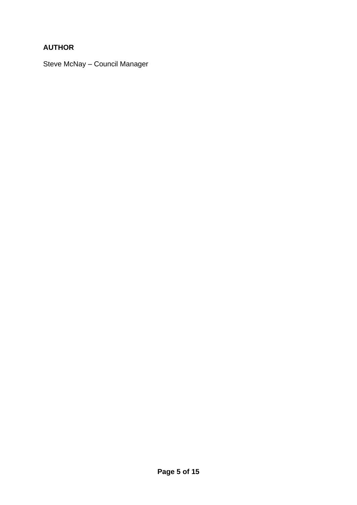# **AUTHOR**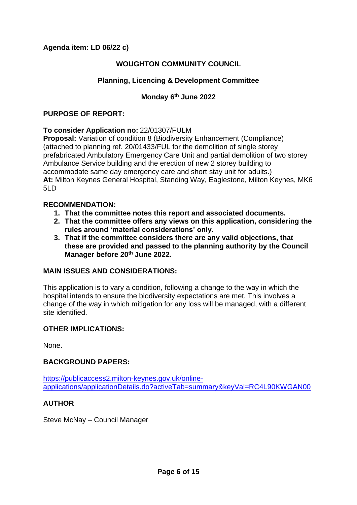**Agenda item: LD 06/22 c)**

# **WOUGHTON COMMUNITY COUNCIL**

# **Planning, Licencing & Development Committee**

# **Monday 6th June 2022**

### **PURPOSE OF REPORT:**

### **To consider Application no:** 22/01307/FULM

**Proposal:** Variation of condition 8 (Biodiversity Enhancement (Compliance) (attached to planning ref. 20/01433/FUL for the demolition of single storey prefabricated Ambulatory Emergency Care Unit and partial demolition of two storey Ambulance Service building and the erection of new 2 storey building to accommodate same day emergency care and short stay unit for adults.) **At:** Milton Keynes General Hospital, Standing Way, Eaglestone, Milton Keynes, MK6  $5L<sub>D</sub>$ 

#### **RECOMMENDATION:**

- **1. That the committee notes this report and associated documents.**
- **2. That the committee offers any views on this application, considering the rules around 'material considerations' only.**
- **3. That if the committee considers there are any valid objections, that these are provided and passed to the planning authority by the Council Manager before 20th June 2022.**

### **MAIN ISSUES AND CONSIDERATIONS:**

This application is to vary a condition, following a change to the way in which the hospital intends to ensure the biodiversity expectations are met. This involves a change of the way in which mitigation for any loss will be managed, with a different site identified.

### **OTHER IMPLICATIONS:**

None.

### **BACKGROUND PAPERS:**

[https://publicaccess2.milton-keynes.gov.uk/online](https://publicaccess2.milton-keynes.gov.uk/online-applications/applicationDetails.do?activeTab=summary&keyVal=RC4L90KWGAN00)[applications/applicationDetails.do?activeTab=summary&keyVal=RC4L90KWGAN00](https://publicaccess2.milton-keynes.gov.uk/online-applications/applicationDetails.do?activeTab=summary&keyVal=RC4L90KWGAN00)

# **AUTHOR**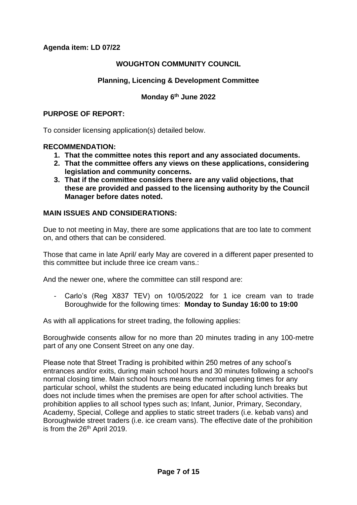# **Agenda item: LD 07/22**

## **WOUGHTON COMMUNITY COUNCIL**

## **Planning, Licencing & Development Committee**

### **Monday 6th June 2022**

#### **PURPOSE OF REPORT:**

To consider licensing application(s) detailed below.

#### **RECOMMENDATION:**

- **1. That the committee notes this report and any associated documents.**
- **2. That the committee offers any views on these applications, considering legislation and community concerns.**
- **3. That if the committee considers there are any valid objections, that these are provided and passed to the licensing authority by the Council Manager before dates noted.**

### **MAIN ISSUES AND CONSIDERATIONS:**

Due to not meeting in May, there are some applications that are too late to comment on, and others that can be considered.

Those that came in late April/ early May are covered in a different paper presented to this committee but include three ice cream vans.:

And the newer one, where the committee can still respond are:

Carlo's (Reg X837 TEV) on 10/05/2022 for 1 ice cream van to trade Boroughwide for the following times: **Monday to Sunday 16:00 to 19:00**

As with all applications for street trading, the following applies:

Boroughwide consents allow for no more than 20 minutes trading in any 100-metre part of any one Consent Street on any one day.

Please note that Street Trading is prohibited within 250 metres of any school's entrances and/or exits, during main school hours and 30 minutes following a school's normal closing time. Main school hours means the normal opening times for any particular school, whilst the students are being educated including lunch breaks but does not include times when the premises are open for after school activities. The prohibition applies to all school types such as; Infant, Junior, Primary, Secondary, Academy, Special, College and applies to static street traders (i.e. kebab vans) and Boroughwide street traders (i.e. ice cream vans). The effective date of the prohibition is from the 26<sup>th</sup> April 2019.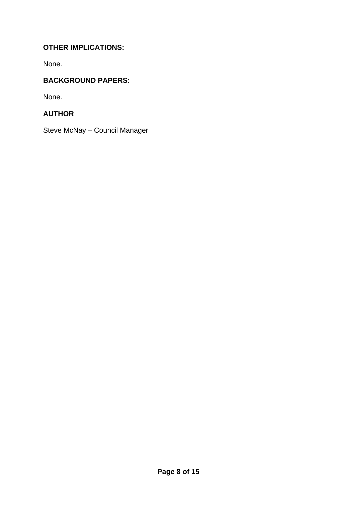# **OTHER IMPLICATIONS:**

None.

# **BACKGROUND PAPERS:**

None.

# **AUTHOR**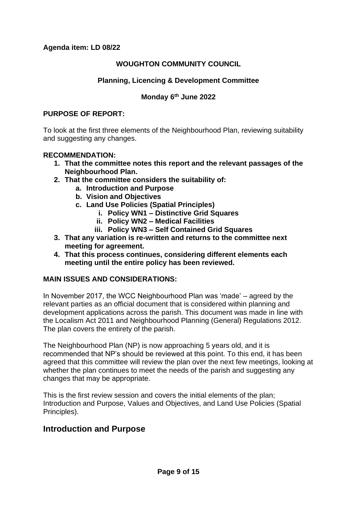# **WOUGHTON COMMUNITY COUNCIL**

# **Planning, Licencing & Development Committee**

# **Monday 6th June 2022**

### **PURPOSE OF REPORT:**

To look at the first three elements of the Neighbourhood Plan, reviewing suitability and suggesting any changes.

### **RECOMMENDATION:**

- **1. That the committee notes this report and the relevant passages of the Neighbourhood Plan.**
- **2. That the committee considers the suitability of:**
	- **a. Introduction and Purpose**
	- **b. Vision and Objectives**
	- **c. Land Use Policies (Spatial Principles)**
		- **i. Policy WN1 – Distinctive Grid Squares**
		- **ii. Policy WN2 – Medical Facilities**
		- **iii. Policy WN3 – Self Contained Grid Squares**
- **3. That any variation is re-written and returns to the committee next meeting for agreement.**
- **4. That this process continues, considering different elements each meeting until the entire policy has been reviewed.**

### **MAIN ISSUES AND CONSIDERATIONS:**

In November 2017, the WCC Neighbourhood Plan was 'made' – agreed by the relevant parties as an official document that is considered within planning and development applications across the parish. This document was made in line with the Localism Act 2011 and Neighbourhood Planning (General) Regulations 2012. The plan covers the entirety of the parish.

The Neighbourhood Plan (NP) is now approaching 5 years old, and it is recommended that NP's should be reviewed at this point. To this end, it has been agreed that this committee will review the plan over the next few meetings, looking at whether the plan continues to meet the needs of the parish and suggesting any changes that may be appropriate.

This is the first review session and covers the initial elements of the plan; Introduction and Purpose, Values and Objectives, and Land Use Policies (Spatial Principles).

# **Introduction and Purpose**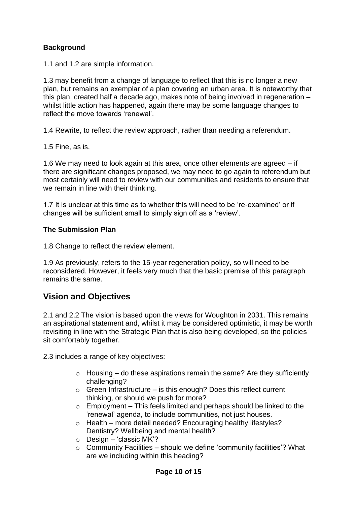# **Background**

1.1 and 1.2 are simple information.

1.3 may benefit from a change of language to reflect that this is no longer a new plan, but remains an exemplar of a plan covering an urban area. It is noteworthy that this plan, created half a decade ago, makes note of being involved in regeneration – whilst little action has happened, again there may be some language changes to reflect the move towards 'renewal'.

1.4 Rewrite, to reflect the review approach, rather than needing a referendum.

1.5 Fine, as is.

1.6 We may need to look again at this area, once other elements are agreed – if there are significant changes proposed, we may need to go again to referendum but most certainly will need to review with our communities and residents to ensure that we remain in line with their thinking.

1.7 It is unclear at this time as to whether this will need to be 're-examined' or if changes will be sufficient small to simply sign off as a 'review'.

## **The Submission Plan**

1.8 Change to reflect the review element.

1.9 As previously, refers to the 15-year regeneration policy, so will need to be reconsidered. However, it feels very much that the basic premise of this paragraph remains the same.

# **Vision and Objectives**

2.1 and 2.2 The vision is based upon the views for Woughton in 2031. This remains an aspirational statement and, whilst it may be considered optimistic, it may be worth revisiting in line with the Strategic Plan that is also being developed, so the policies sit comfortably together.

2.3 includes a range of key objectives:

- $\circ$  Housing do these aspirations remain the same? Are they sufficiently challenging?
- $\circ$  Green Infrastructure is this enough? Does this reflect current thinking, or should we push for more?
- $\circ$  Employment This feels limited and perhaps should be linked to the 'renewal' agenda, to include communities, not just houses.
- o Health more detail needed? Encouraging healthy lifestyles? Dentistry? Wellbeing and mental health?
- $\circ$  Design 'classic MK'?
- $\circ$  Community Facilities should we define 'community facilities'? What are we including within this heading?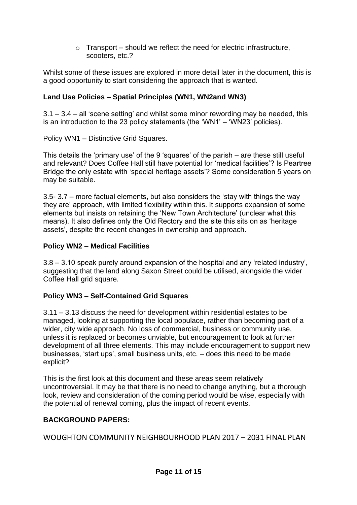$\circ$  Transport – should we reflect the need for electric infrastructure, scooters, etc.?

Whilst some of these issues are explored in more detail later in the document, this is a good opportunity to start considering the approach that is wanted.

# **Land Use Policies – Spatial Principles (WN1, WN2and WN3)**

3.1 – 3.4 – all 'scene setting' and whilst some minor rewording may be needed, this is an introduction to the 23 policy statements (the 'WN1' – 'WN23' policies).

Policy WN1 – Distinctive Grid Squares.

This details the 'primary use' of the 9 'squares' of the parish – are these still useful and relevant? Does Coffee Hall still have potential for 'medical facilities'? Is Peartree Bridge the only estate with 'special heritage assets'? Some consideration 5 years on may be suitable.

3.5- 3.7 – more factual elements, but also considers the 'stay with things the way they are' approach, with limited flexibility within this. It supports expansion of some elements but insists on retaining the 'New Town Architecture' (unclear what this means). It also defines only the Old Rectory and the site this sits on as 'heritage assets', despite the recent changes in ownership and approach.

# **Policy WN2 – Medical Facilities**

3.8 – 3.10 speak purely around expansion of the hospital and any 'related industry', suggesting that the land along Saxon Street could be utilised, alongside the wider Coffee Hall grid square.

# **Policy WN3 – Self-Contained Grid Squares**

3.11 – 3.13 discuss the need for development within residential estates to be managed, looking at supporting the local populace, rather than becoming part of a wider, city wide approach. No loss of commercial, business or community use, unless it is replaced or becomes unviable, but encouragement to look at further development of all three elements. This may include encouragement to support new businesses, 'start ups', small business units, etc. – does this need to be made explicit?

This is the first look at this document and these areas seem relatively uncontroversial. It may be that there is no need to change anything, but a thorough look, review and consideration of the coming period would be wise, especially with the potential of renewal coming, plus the impact of recent events.

# **BACKGROUND PAPERS:**

WOUGHTON COMMUNITY NEIGHBOURHOOD PLAN 2017 – 2031 FINAL PLAN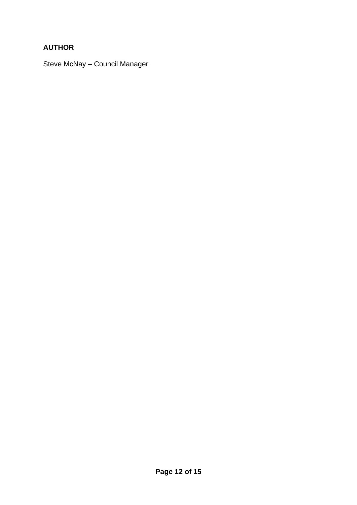# **AUTHOR**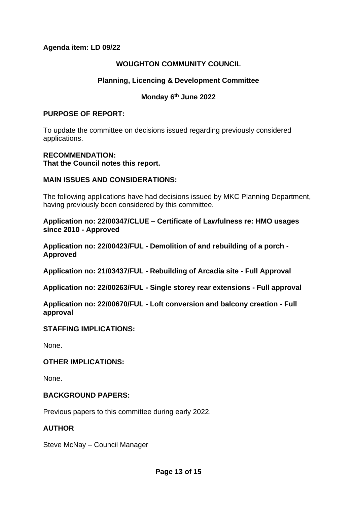### **Agenda item: LD 09/22**

## **WOUGHTON COMMUNITY COUNCIL**

# **Planning, Licencing & Development Committee**

# **Monday 6th June 2022**

#### **PURPOSE OF REPORT:**

To update the committee on decisions issued regarding previously considered applications.

### **RECOMMENDATION:**

**That the Council notes this report.** 

### **MAIN ISSUES AND CONSIDERATIONS:**

The following applications have had decisions issued by MKC Planning Department, having previously been considered by this committee.

**Application no: 22/00347/CLUE – Certificate of Lawfulness re: HMO usages since 2010 - Approved**

**Application no: 22/00423/FUL - Demolition of and rebuilding of a porch - Approved**

**Application no: 21/03437/FUL - Rebuilding of Arcadia site - Full Approval**

**Application no: 22/00263/FUL - Single storey rear extensions - Full approval**

**Application no: 22/00670/FUL - Loft conversion and balcony creation - Full approval**

### **STAFFING IMPLICATIONS:**

None.

### **OTHER IMPLICATIONS:**

None.

### **BACKGROUND PAPERS:**

Previous papers to this committee during early 2022.

### **AUTHOR**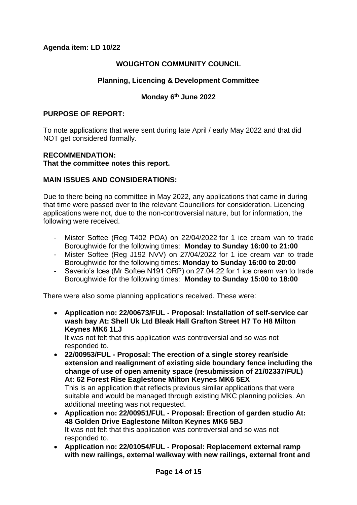# **Agenda item: LD 10/22**

## **WOUGHTON COMMUNITY COUNCIL**

# **Planning, Licencing & Development Committee**

# **Monday 6th June 2022**

#### **PURPOSE OF REPORT:**

To note applications that were sent during late April / early May 2022 and that did NOT get considered formally.

#### **RECOMMENDATION:**

**That the committee notes this report.** 

### **MAIN ISSUES AND CONSIDERATIONS:**

Due to there being no committee in May 2022, any applications that came in during that time were passed over to the relevant Councillors for consideration. Licencing applications were not, due to the non-controversial nature, but for information, the following were received.

- Mister Softee (Reg T402 POA) on 22/04/2022 for 1 ice cream van to trade Boroughwide for the following times: **Monday to Sunday 16:00 to 21:00**
- Mister Softee (Reg J192 NVV) on 27/04/2022 for 1 ice cream van to trade Boroughwide for the following times: **Monday to Sunday 16:00 to 20:00**
- Saverio's Ices (Mr Softee N191 ORP) on 27.04.22 for 1 ice cream van to trade Boroughwide for the following times: **Monday to Sunday 15:00 to 18:00**

There were also some planning applications received. These were:

• **Application no: 22/00673/FUL - Proposal: Installation of self-service car wash bay At: Shell Uk Ltd Bleak Hall Grafton Street H7 To H8 Milton Keynes MK6 1LJ**

It was not felt that this application was controversial and so was not responded to.

- **22/00953/FUL - Proposal: The erection of a single storey rear/side extension and realignment of existing side boundary fence including the change of use of open amenity space (resubmission of 21/02337/FUL) At: 62 Forest Rise Eaglestone Milton Keynes MK6 5EX** This is an application that reflects previous similar applications that were suitable and would be managed through existing MKC planning policies. An additional meeting was not requested.
- **Application no: 22/00951/FUL - Proposal: Erection of garden studio At: 48 Golden Drive Eaglestone Milton Keynes MK6 5BJ** It was not felt that this application was controversial and so was not responded to.
- **Application no: 22/01054/FUL - Proposal: Replacement external ramp with new railings, external walkway with new railings, external front and**